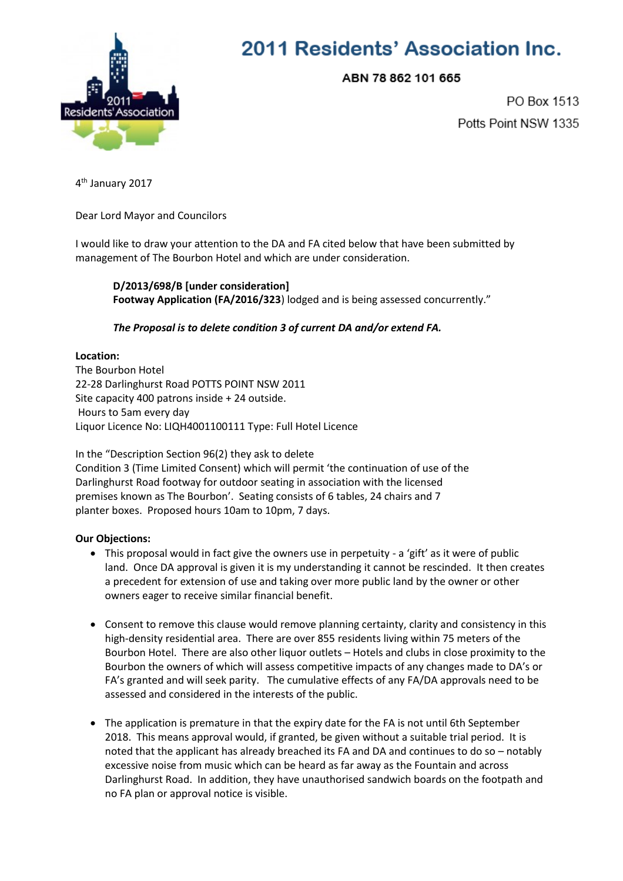

# 2011 Residents' Association Inc.

ABN 78 862 101 665

PO Box 1513 Potts Point NSW 1335

4<sup>th</sup> January 2017

Dear Lord Mayor and Councilors

I would like to draw your attention to the DA and FA cited below that have been submitted by management of The Bourbon Hotel and which are under consideration.

**D/2013/698/B [under consideration] Footway Application (FA/2016/323**) lodged and is being assessed concurrently."

## *The Proposal is to delete condition 3 of current DA and/or extend FA.*

### **Location:**

The Bourbon Hotel 22-28 Darlinghurst Road POTTS POINT NSW 2011 Site capacity 400 patrons inside + 24 outside. Hours to 5am every day Liquor Licence No: LIQH4001100111 Type: Full Hotel Licence

In the "Description Section 96(2) they ask to delete Condition 3 (Time Limited Consent) which will permit 'the continuation of use of the Darlinghurst Road footway for outdoor seating in association with the licensed premises known as The Bourbon'. Seating consists of 6 tables, 24 chairs and 7 planter boxes. Proposed hours 10am to 10pm, 7 days.

### **Our Objections:**

- This proposal would in fact give the owners use in perpetuity a 'gift' as it were of public land. Once DA approval is given it is my understanding it cannot be rescinded. It then creates a precedent for extension of use and taking over more public land by the owner or other owners eager to receive similar financial benefit.
- Consent to remove this clause would remove planning certainty, clarity and consistency in this high-density residential area. There are over 855 residents living within 75 meters of the Bourbon Hotel. There are also other liquor outlets – Hotels and clubs in close proximity to the Bourbon the owners of which will assess competitive impacts of any changes made to DA's or FA's granted and will seek parity. The cumulative effects of any FA/DA approvals need to be assessed and considered in the interests of the public.
- The application is premature in that the expiry date for the FA is not until 6th September 2018. This means approval would, if granted, be given without a suitable trial period. It is noted that the applicant has already breached its FA and DA and continues to do so – notably excessive noise from music which can be heard as far away as the Fountain and across Darlinghurst Road. In addition, they have unauthorised sandwich boards on the footpath and no FA plan or approval notice is visible.